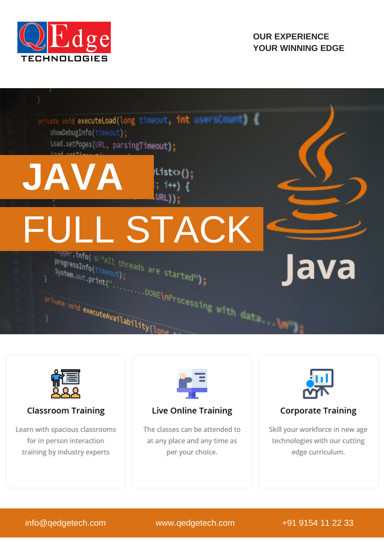

## **OUR EXPERIENCE YOUR WINNING EDGE**





## **Classroom Training**

Learn with spacious classrooms for in person interaction training by industry experts



## **Live Online Training**

The classes can be attended to at any place and any time as per your choice.



## **Corporate Training**

Skill your workforce in new age technologies with our cutting edge curriculum.

info@qedgetech.com www.qedgetech.com +91 9154 11 22 33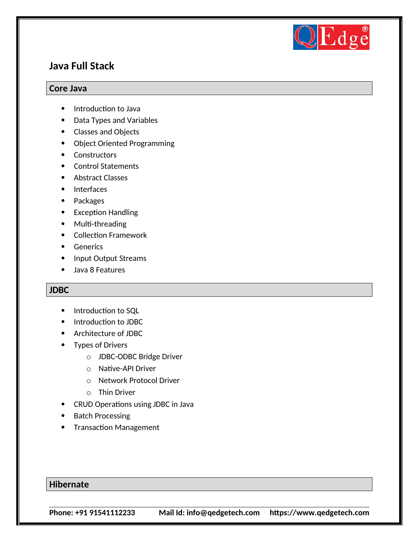

## **Java Full Stack**

#### **Core Java**

- Introduction to Java
- Data Types and Variables
- Classes and Objects
- Object Oriented Programming
- Constructors
- Control Statements
- Abstract Classes
- Interfaces
- Packages
- Exception Handling
- Multi-threading
- Collection Framework
- **•** Generics
- Input Output Streams
- Java 8 Features

#### **JDBC**

- Introduction to SQL
- Introduction to JDBC
- Architecture of JDBC
- Types of Drivers
	- o JDBC-ODBC Bridge Driver
	- o Native-API Driver
	- o Network Protocol Driver
	- o Thin Driver
- CRUD Operations using JDBC in Java
- Batch Processing
- Transaction Management

#### **Hibernate**

**Phone: +91 91541112233 Mail Id: info@qedgetech.com https://www.qedgetech.com**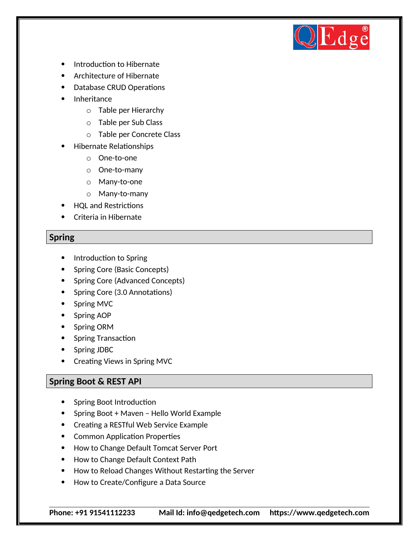

- Introduction to Hibernate
- Architecture of Hibernate
- Database CRUD Operations
- Inheritance
	- o Table per Hierarchy
	- o Table per Sub Class
	- o Table per Concrete Class
- Hibernate Relationships
	- o One-to-one
	- o One-to-many
	- o Many-to-one
	- o Many-to-many
- HQL and Restrictions
- Criteria in Hibernate

#### **Spring**

- Introduction to Spring
- Spring Core (Basic Concepts)
- Spring Core (Advanced Concepts)
- Spring Core (3.0 Annotations)
- Spring MVC
- Spring AOP
- Spring ORM
- Spring Transaction
- Spring JDBC
- Creating Views in Spring MVC

#### **Spring Boot & REST API**

- Spring Boot Introduction
- Spring Boot + Maven Hello World Example
- Creating a RESTful Web Service Example
- Common Application Properties
- How to Change Default Tomcat Server Port
- How to Change Default Context Path
- How to Reload Changes Without Restarting the Server
- How to Create/Configure a Data Source

**Phone: +91 91541112233 Mail Id: info@qedgetech.com https://www.qedgetech.com**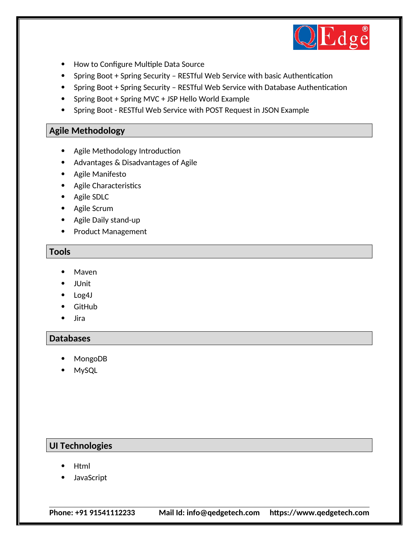

- How to Configure Multiple Data Source
- Spring Boot + Spring Security RESTful Web Service with basic Authentication
- Spring Boot + Spring Security RESTful Web Service with Database Authentication
- Spring Boot + Spring MVC + JSP Hello World Example
- Spring Boot RESTful Web Service with POST Request in JSON Example

#### **Agile Methodology**

- Agile Methodology Introduction
- Advantages & Disadvantages of Agile
- Agile Manifesto
- Agile Characteristics
- Agile SDLC
- Agile Scrum
- Agile Daily stand-up
- Product Management

#### **Tools**

- Maven
- JUnit
- Log4J
- GitHub
- Jira

#### **Databases**

- MongoDB
- MySQL

## **UI Technologies**

- Html
- JavaScript

**Phone: +91 91541112233 Mail Id: info@qedgetech.com https://www.qedgetech.com**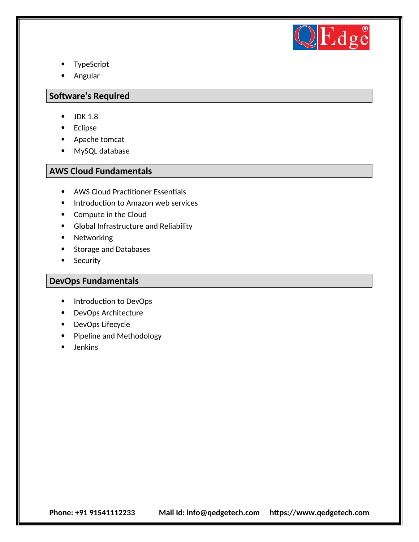

- TypeScript
- Angular

#### **Software's Required**

- $\bullet$  JDK 1.8
- Eclipse
- Apache tomcat
- MySQL database

#### **AWS Cloud Fundamentals**

- AWS Cloud Practitioner Essentials
- Introduction to Amazon web services
- Compute in the Cloud
- Global Infrastructure and Reliability
- Networking
- Storage and Databases
- Security

#### **DevOps Fundamentals**

- Introduction to DevOps
- DevOps Architecture
- DevOps Lifecycle
- Pipeline and Methodology
- Jenkins